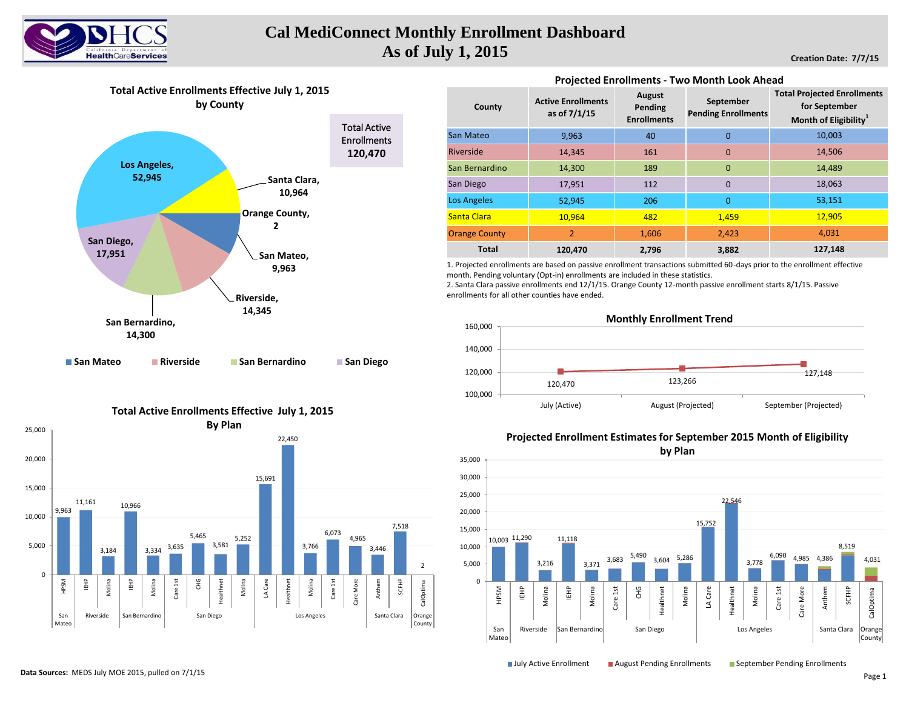

# **Cal MediConnect Monthly Enrollment Dashboard As of July 1, 2015**

**Creation Date: 7/7/15**

**Total Active Enrollments Effective July 1, 2015 by County**



### **Total Active Enrollments Effective July 1, 2015**



| County               | <b>Active Enrollments</b><br>as of 7/1/15 | August<br>Pending<br><b>Enrollments</b> | September<br><b>Pending Enrollments</b> | <b>Total Projected Enrollments</b><br>for September<br>Month of Eligibility <sup>1</sup> |  |  |
|----------------------|-------------------------------------------|-----------------------------------------|-----------------------------------------|------------------------------------------------------------------------------------------|--|--|
| San Mateo            | 9,963                                     | 40                                      | $\mathbf 0$                             | 10,003                                                                                   |  |  |
| Riverside            | 14,345                                    | 161                                     | $\mathbf 0$                             | 14,506                                                                                   |  |  |
| San Bernardino       | 14.300                                    | 189                                     | $\overline{0}$                          | 14,489                                                                                   |  |  |
| San Diego            | 17,951                                    | 112                                     | $\mathbf 0$                             | 18,063                                                                                   |  |  |
| <b>Los Angeles</b>   | 52,945                                    | 206                                     | $\overline{0}$                          | 53,151                                                                                   |  |  |
| Santa Clara          | 10,964                                    | 482                                     | 1,459                                   | 12,905                                                                                   |  |  |
| <b>Orange County</b> | $\overline{2}$                            | 1,606                                   | 2,423                                   | 4,031                                                                                    |  |  |
| <b>Total</b>         | 120,470                                   | 2,796                                   | 3,882                                   | 127,148                                                                                  |  |  |

**Projected Enrollments - Two Month Look Ahead** 

1. Projected enrollments are based on passive enrollment transactions submitted 60-days prior to the enrollment effective month. Pending voluntary (Opt-in) enrollments are included in these statistics.

2. Santa Clara passive enrollments end 12/1/15. Orange County 12-month passive enrollment starts 8/1/15. Passive enrollments for all other counties have ended.





## **Projected Enrollment Estimates for September 2015 Month of Eligibility**